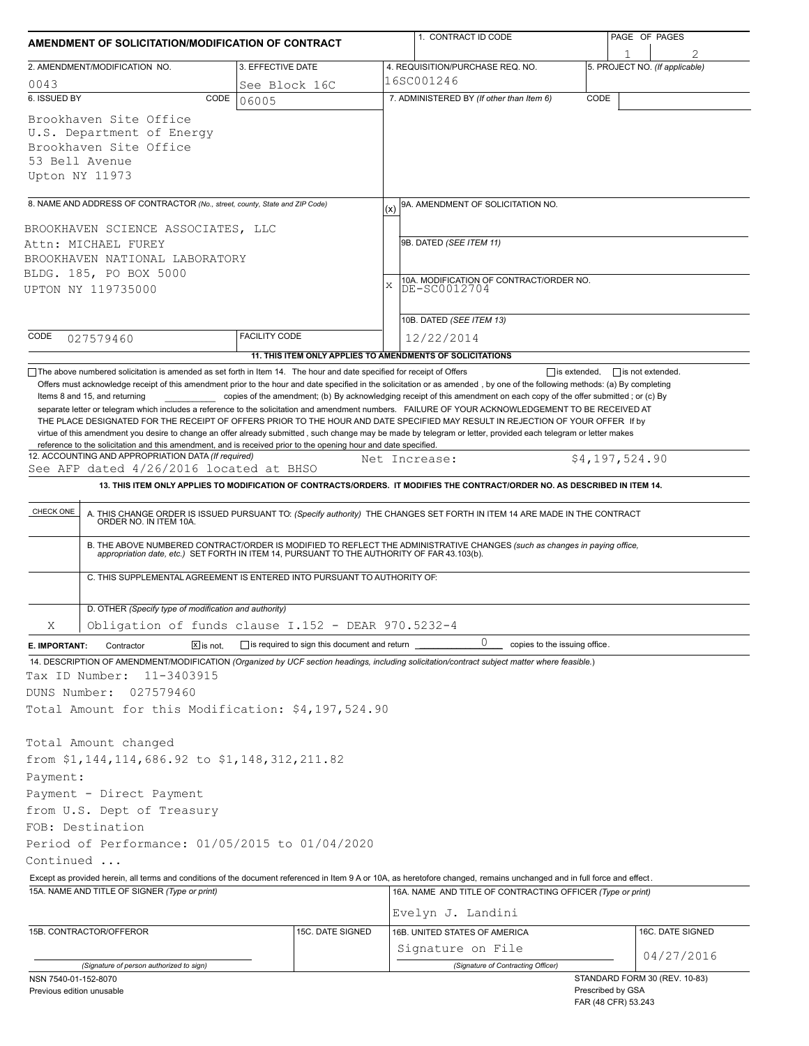| AMENDMENT OF SOLICITATION/MODIFICATION OF CONTRACT                                                                                          |                                                                                                                                                                                                                                                                                                                                                                                                                                                                                                                                                     |                                                                                   |              | 1. CONTRACT ID CODE                                                                                                                                                                                                                     |                   | PAGE OF PAGES       |                                |  |  |
|---------------------------------------------------------------------------------------------------------------------------------------------|-----------------------------------------------------------------------------------------------------------------------------------------------------------------------------------------------------------------------------------------------------------------------------------------------------------------------------------------------------------------------------------------------------------------------------------------------------------------------------------------------------------------------------------------------------|-----------------------------------------------------------------------------------|--------------|-----------------------------------------------------------------------------------------------------------------------------------------------------------------------------------------------------------------------------------------|-------------------|---------------------|--------------------------------|--|--|
|                                                                                                                                             | 2. AMENDMENT/MODIFICATION NO.                                                                                                                                                                                                                                                                                                                                                                                                                                                                                                                       | 3. EFFECTIVE DATE                                                                 |              | 4. REQUISITION/PURCHASE REQ. NO.                                                                                                                                                                                                        |                   |                     | 5. PROJECT NO. (If applicable) |  |  |
| 0043                                                                                                                                        |                                                                                                                                                                                                                                                                                                                                                                                                                                                                                                                                                     | See Block 16C                                                                     |              | 16SC001246                                                                                                                                                                                                                              |                   |                     |                                |  |  |
| 6. ISSUED BY                                                                                                                                | CODE                                                                                                                                                                                                                                                                                                                                                                                                                                                                                                                                                | 06005                                                                             |              | 7. ADMINISTERED BY (If other than Item 6)                                                                                                                                                                                               | CODE              |                     |                                |  |  |
|                                                                                                                                             | Brookhaven Site Office<br>U.S. Department of Energy<br>Brookhaven Site Office<br>53 Bell Avenue<br>Upton NY 11973                                                                                                                                                                                                                                                                                                                                                                                                                                   |                                                                                   |              |                                                                                                                                                                                                                                         |                   |                     |                                |  |  |
|                                                                                                                                             | 8. NAME AND ADDRESS OF CONTRACTOR (No., street, county, State and ZIP Code)                                                                                                                                                                                                                                                                                                                                                                                                                                                                         |                                                                                   |              | 9A. AMENDMENT OF SOLICITATION NO.                                                                                                                                                                                                       |                   |                     |                                |  |  |
| BROOKHAVEN SCIENCE ASSOCIATES, LLC<br>Attn: MICHAEL FUREY<br>BROOKHAVEN NATIONAL LABORATORY<br>BLDG. 185, PO BOX 5000<br>UPTON NY 119735000 |                                                                                                                                                                                                                                                                                                                                                                                                                                                                                                                                                     |                                                                                   | $\mathbf{x}$ | (x)<br>9B. DATED (SEE ITEM 11)<br>10A. MODIFICATION OF CONTRACT/ORDER NO.<br>DE-SC0012704                                                                                                                                               |                   |                     |                                |  |  |
|                                                                                                                                             |                                                                                                                                                                                                                                                                                                                                                                                                                                                                                                                                                     |                                                                                   |              | 10B. DATED (SEE ITEM 13)                                                                                                                                                                                                                |                   |                     |                                |  |  |
| CODE                                                                                                                                        | 027579460                                                                                                                                                                                                                                                                                                                                                                                                                                                                                                                                           | <b>FACILITY CODE</b><br>11. THIS ITEM ONLY APPLIES TO AMENDMENTS OF SOLICITATIONS |              | 12/22/2014                                                                                                                                                                                                                              |                   |                     |                                |  |  |
| CHECK ONE                                                                                                                                   | See AFP dated 4/26/2016 located at BHSO<br>13. THIS ITEM ONLY APPLIES TO MODIFICATION OF CONTRACTS/ORDERS. IT MODIFIES THE CONTRACT/ORDER NO. AS DESCRIBED IN ITEM 14.<br>A. THIS CHANGE ORDER IS ISSUED PURSUANT TO: (Specify authority) THE CHANGES SET FORTH IN ITEM 14 ARE MADE IN THE CONTRACT ORDER NO. IN ITEM 10A.<br>B. THE ABOVE NUMBERED CONTRACT/ORDER IS MODIFIED TO REFLECT THE ADMINISTRATIVE CHANGES (such as changes in paying office, appropriation date, etc.) SET FORTH IN ITEM 14, PURSUANT TO THE AUTHORITY OF FAR 43.103(b). |                                                                                   |              |                                                                                                                                                                                                                                         |                   |                     |                                |  |  |
|                                                                                                                                             | C. THIS SUPPLEMENTAL AGREEMENT IS ENTERED INTO PURSUANT TO AUTHORITY OF:<br>D. OTHER (Specify type of modification and authority)                                                                                                                                                                                                                                                                                                                                                                                                                   |                                                                                   |              |                                                                                                                                                                                                                                         |                   |                     |                                |  |  |
| Χ                                                                                                                                           | Obligation of funds clause $I.152 - DERR 970.5232-4$                                                                                                                                                                                                                                                                                                                                                                                                                                                                                                |                                                                                   |              |                                                                                                                                                                                                                                         |                   |                     |                                |  |  |
| E. IMPORTANT:                                                                                                                               | Contractor<br>$X$ is not.                                                                                                                                                                                                                                                                                                                                                                                                                                                                                                                           | is required to sign this document and return                                      |              | 0<br>copies to the issuing office.                                                                                                                                                                                                      |                   |                     |                                |  |  |
| DUNS Number:                                                                                                                                | Tax ID Number:<br>11-3403915<br>027579460<br>Total Amount for this Modification: \$4,197,524.90                                                                                                                                                                                                                                                                                                                                                                                                                                                     |                                                                                   |              | 14. DESCRIPTION OF AMENDMENT/MODIFICATION (Organized by UCF section headings, including solicitation/contract subject matter where feasible.)                                                                                           |                   |                     |                                |  |  |
| Payment:                                                                                                                                    | Total Amount changed<br>from \$1,144,114,686.92 to \$1,148,312,211.82                                                                                                                                                                                                                                                                                                                                                                                                                                                                               |                                                                                   |              |                                                                                                                                                                                                                                         |                   |                     |                                |  |  |
|                                                                                                                                             | Payment - Direct Payment<br>from U.S. Dept of Treasury                                                                                                                                                                                                                                                                                                                                                                                                                                                                                              |                                                                                   |              |                                                                                                                                                                                                                                         |                   |                     |                                |  |  |
|                                                                                                                                             | FOB: Destination                                                                                                                                                                                                                                                                                                                                                                                                                                                                                                                                    |                                                                                   |              |                                                                                                                                                                                                                                         |                   |                     |                                |  |  |
|                                                                                                                                             | Period of Performance: 01/05/2015 to 01/04/2020                                                                                                                                                                                                                                                                                                                                                                                                                                                                                                     |                                                                                   |              |                                                                                                                                                                                                                                         |                   |                     |                                |  |  |
| Continued                                                                                                                                   |                                                                                                                                                                                                                                                                                                                                                                                                                                                                                                                                                     |                                                                                   |              |                                                                                                                                                                                                                                         |                   |                     |                                |  |  |
|                                                                                                                                             | 15A. NAME AND TITLE OF SIGNER (Type or print)                                                                                                                                                                                                                                                                                                                                                                                                                                                                                                       |                                                                                   |              | Except as provided herein, all terms and conditions of the document referenced in Item 9 A or 10A, as heretofore changed, remains unchanged and in full force and effect.<br>16A. NAME AND TITLE OF CONTRACTING OFFICER (Type or print) |                   |                     |                                |  |  |
|                                                                                                                                             |                                                                                                                                                                                                                                                                                                                                                                                                                                                                                                                                                     |                                                                                   |              | Evelyn J. Landini                                                                                                                                                                                                                       |                   |                     |                                |  |  |
|                                                                                                                                             | 15B. CONTRACTOR/OFFEROR                                                                                                                                                                                                                                                                                                                                                                                                                                                                                                                             | 15C. DATE SIGNED                                                                  |              | 16B. UNITED STATES OF AMERICA                                                                                                                                                                                                           |                   |                     | 16C. DATE SIGNED               |  |  |
|                                                                                                                                             |                                                                                                                                                                                                                                                                                                                                                                                                                                                                                                                                                     |                                                                                   |              | Signature on File                                                                                                                                                                                                                       |                   |                     | 04/27/2016                     |  |  |
| NSN 7540-01-152-8070<br>Previous edition unusable                                                                                           | (Signature of person authorized to sign)                                                                                                                                                                                                                                                                                                                                                                                                                                                                                                            |                                                                                   |              | (Signature of Contracting Officer)                                                                                                                                                                                                      | Prescribed by GSA | FAR (48 CFR) 53.243 | STANDARD FORM 30 (REV. 10-83)  |  |  |